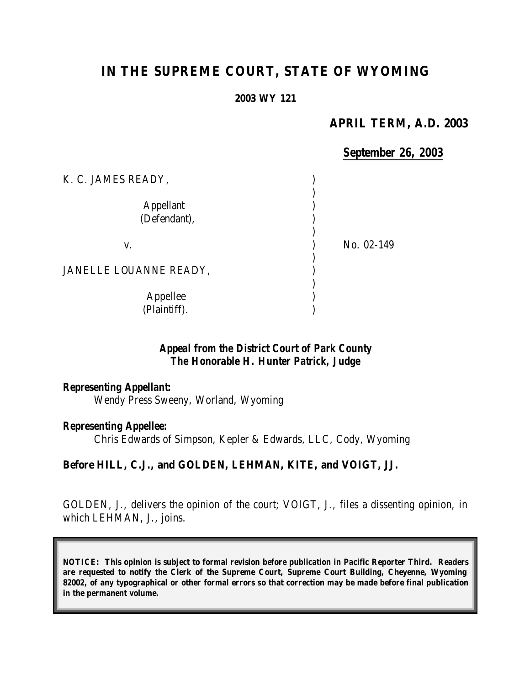# **IN THE SUPREME COURT, STATE OF WYOMING**

#### **2003 WY 121**

#### **APRIL TERM, A.D. 2003**

### *September 26, 2003*

| K. C. JAMES READY,               |            |
|----------------------------------|------------|
| <b>Appellant</b><br>(Defendant), |            |
| V.                               | No. 02-149 |
| JANELLE LOUANNE READY,           |            |
| Appellee<br>(Plaintiff).         |            |

# *Appeal from the District Court of Park County The Honorable H. Hunter Patrick, Judge*

#### *Representing Appellant:*

Wendy Press Sweeny, Worland, Wyoming

#### *Representing Appellee:*

Chris Edwards of Simpson, Kepler & Edwards, LLC, Cody, Wyoming

#### **Before HILL, C.J., and GOLDEN, LEHMAN, KITE, and VOIGT, JJ.**

GOLDEN, J., delivers the opinion of the court; VOIGT, J., files a dissenting opinion, in which LEHMAN, J., joins.

**NOTICE: This opinion is subject to formal revision before publication in Pacific Reporter Third. Readers are requested to notify the Clerk of the Supreme Court, Supreme Court Building, Cheyenne, Wyoming 82002, of any typographical or other formal errors so that correction may be made before final publication in the permanent volume.**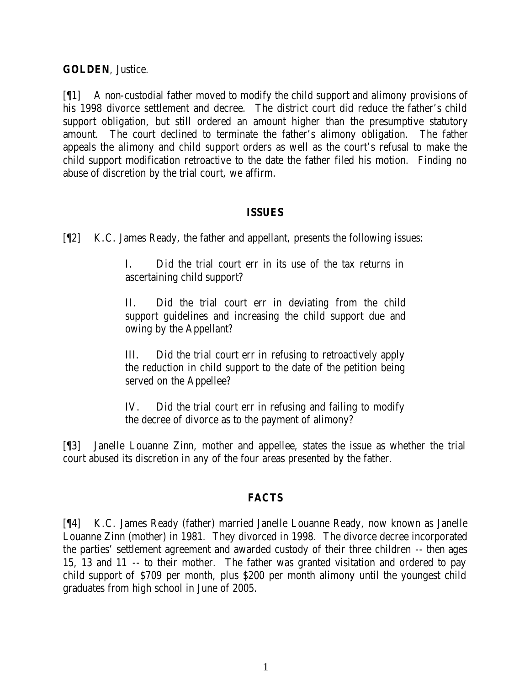## **GOLDEN**, Justice.

[¶1] A non-custodial father moved to modify the child support and alimony provisions of his 1998 divorce settlement and decree. The district court did reduce the father's child support obligation, but still ordered an amount higher than the presumptive statutory amount. The court declined to terminate the father's alimony obligation. The father appeals the alimony and child support orders as well as the court's refusal to make the child support modification retroactive to the date the father filed his motion. Finding no abuse of discretion by the trial court, we affirm.

### **ISSUES**

[¶2] K.C. James Ready, the father and appellant, presents the following issues:

I. Did the trial court err in its use of the tax returns in ascertaining child support?

II. Did the trial court err in deviating from the child support guidelines and increasing the child support due and owing by the Appellant?

III. Did the trial court err in refusing to retroactively apply the reduction in child support to the date of the petition being served on the Appellee?

IV. Did the trial court err in refusing and failing to modify the decree of divorce as to the payment of alimony?

[¶3] Janelle Louanne Zinn, mother and appellee, states the issue as whether the trial court abused its discretion in any of the four areas presented by the father.

# **FACTS**

[¶4] K.C. James Ready (father) married Janelle Louanne Ready, now known as Janelle Louanne Zinn (mother) in 1981. They divorced in 1998. The divorce decree incorporated the parties' settlement agreement and awarded custody of their three children -- then ages 15, 13 and 11 -- to their mother. The father was granted visitation and ordered to pay child support of \$709 per month, plus \$200 per month alimony until the youngest child graduates from high school in June of 2005.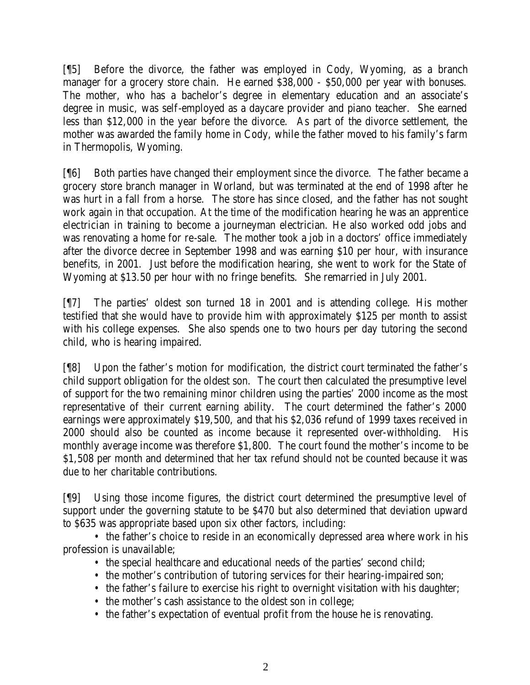[¶5] Before the divorce, the father was employed in Cody, Wyoming, as a branch manager for a grocery store chain. He earned \$38,000 - \$50,000 per year with bonuses. The mother, who has a bachelor's degree in elementary education and an associate's degree in music, was self-employed as a daycare provider and piano teacher. She earned less than \$12,000 in the year before the divorce. As part of the divorce settlement, the mother was awarded the family home in Cody, while the father moved to his family's farm in Thermopolis, Wyoming.

[¶6] Both parties have changed their employment since the divorce. The father became a grocery store branch manager in Worland, but was terminated at the end of 1998 after he was hurt in a fall from a horse. The store has since closed, and the father has not sought work again in that occupation. At the time of the modification hearing he was an apprentice electrician in training to become a journeyman electrician. He also worked odd jobs and was renovating a home for re-sale. The mother took a job in a doctors' office immediately after the divorce decree in September 1998 and was earning \$10 per hour, with insurance benefits, in 2001. Just before the modification hearing, she went to work for the State of Wyoming at \$13.50 per hour with no fringe benefits. She remarried in July 2001.

[¶7] The parties' oldest son turned 18 in 2001 and is attending college. His mother testified that she would have to provide him with approximately \$125 per month to assist with his college expenses. She also spends one to two hours per day tutoring the second child, who is hearing impaired.

[¶8] Upon the father's motion for modification, the district court terminated the father's child support obligation for the oldest son. The court then calculated the presumptive level of support for the two remaining minor children using the parties' 2000 income as the most representative of their current earning ability. The court determined the father's 2000 earnings were approximately \$19,500, and that his \$2,036 refund of 1999 taxes received in 2000 should also be counted as income because it represented over-withholding. His monthly average income was therefore \$1,800. The court found the mother's income to be \$1,508 per month and determined that her tax refund should not be counted because it was due to her charitable contributions.

[¶9] Using those income figures, the district court determined the presumptive level of support under the governing statute to be \$470 but also determined that deviation upward to \$635 was appropriate based upon six other factors, including:

• the father's choice to reside in an economically depressed area where work in his profession is unavailable;

- the special healthcare and educational needs of the parties' second child;
- the mother's contribution of tutoring services for their hearing-impaired son;
- the father's failure to exercise his right to overnight visitation with his daughter;
- the mother's cash assistance to the oldest son in college;
- the father's expectation of eventual profit from the house he is renovating.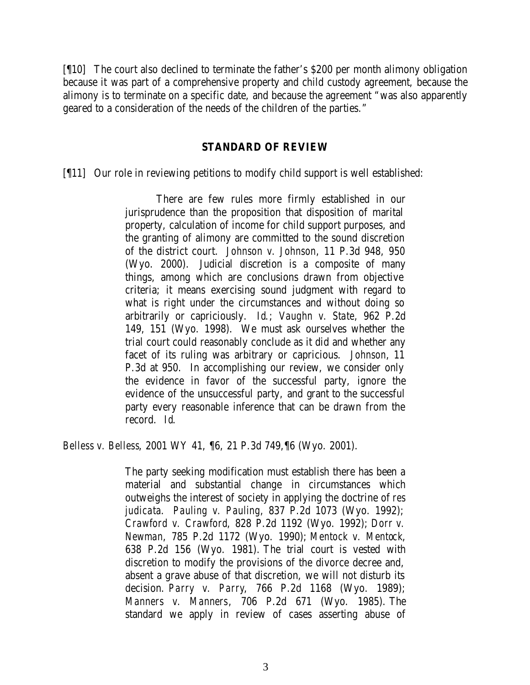[¶10] The court also declined to terminate the father's \$200 per month alimony obligation because it was part of a comprehensive property and child custody agreement, because the alimony is to terminate on a specific date, and because the agreement "was also apparently geared to a consideration of the needs of the children of the parties."

#### **STANDARD OF REVIEW**

[¶11] Our role in reviewing petitions to modify child support is well established:

There are few rules more firmly established in our jurisprudence than the proposition that disposition of marital property, calculation of income for child support purposes, and the granting of alimony are committed to the sound discretion of the district court. *Johnson v. Johnson*, 11 P.3d 948, 950 (Wyo. 2000). Judicial discretion is a composite of many things, among which are conclusions drawn from objective criteria; it means exercising sound judgment with regard to what is right under the circumstances and without doing so arbitrarily or capriciously. *Id*.; *Vaughn v. State*, 962 P.2d 149, 151 (Wyo. 1998). We must ask ourselves whether the trial court could reasonably conclude as it did and whether any facet of its ruling was arbitrary or capricious. *Johnson*, 11 P.3d at 950. In accomplishing our review, we consider only the evidence in favor of the successful party, ignore the evidence of the unsuccessful party, and grant to the successful party every reasonable inference that can be drawn from the record. *Id*.

*Belless v. Belless*, 2001 WY 41, ¶6, 21 P.3d 749,¶6 (Wyo. 2001).

The party seeking modification must establish there has been a material and substantial change in circumstances which outweighs the interest of society in applying the doctrine of *res judicata*. *Pauling v. Pauling*, 837 P.2d 1073 (Wyo. 1992); *Crawford v. Crawford*, 828 P.2d 1192 (Wyo. 1992); *Dorr v. Newman*, 785 P.2d 1172 (Wyo. 1990); *Mentock v. Mentock*, 638 P.2d 156 (Wyo. 1981). The trial court is vested with discretion to modify the provisions of the divorce decree and, absent a grave abuse of that discretion, we will not disturb its decision. *Parry v. Parry*, 766 P.2d 1168 (Wyo. 1989); *Manners v. Manners*, 706 P.2d 671 (Wyo. 1985). The standard we apply in review of cases asserting abuse of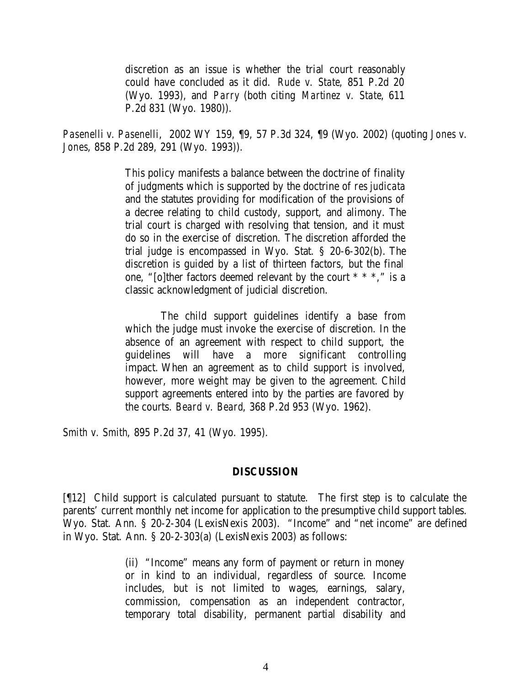discretion as an issue is whether the trial court reasonably could have concluded as it did. *Rude v. State*, 851 P.2d 20 (Wyo. 1993), and *Parry* (both citing *Martinez v. State*, 611 P.2d 831 (Wyo. 1980)).

*Pasenelli v. Pasenelli*, 2002 WY 159, ¶9, 57 P.3d 324, ¶9 (Wyo. 2002) (quoting *Jones v. Jones*, 858 P.2d 289, 291 (Wyo. 1993)).

> This policy manifests a balance between the doctrine of finality of judgments which is supported by the doctrine of *res judicata*  and the statutes providing for modification of the provisions of a decree relating to child custody, support, and alimony. The trial court is charged with resolving that tension, and it must do so in the exercise of discretion. The discretion afforded the trial judge is encompassed in Wyo. Stat. § 20-6-302(b). The discretion is guided by a list of thirteen factors, but the final one, "[o]ther factors deemed relevant by the court \* \* \*," is a classic acknowledgment of judicial discretion.

> The child support guidelines identify a base from which the judge must invoke the exercise of discretion. In the absence of an agreement with respect to child support, the guidelines will have a more significant controlling impact. When an agreement as to child support is involved, however, more weight may be given to the agreement. Child support agreements entered into by the parties are favored by the courts. *Beard v. Beard*, 368 P.2d 953 (Wyo. 1962).

*Smith v. Smith*, 895 P.2d 37, 41 (Wyo. 1995).

#### **DISCUSSION**

[¶12] Child support is calculated pursuant to statute. The first step is to calculate the parents' current monthly net income for application to the presumptive child support tables. Wyo. Stat. Ann. § 20-2-304 (LexisNexis 2003). "Income" and "net income" are defined in Wyo. Stat. Ann. § 20-2-303(a) (LexisNexis 2003) as follows:

> (ii) "Income" means any form of payment or return in money or in kind to an individual, regardless of source. Income includes, but is not limited to wages, earnings, salary, commission, compensation as an independent contractor, temporary total disability, permanent partial disability and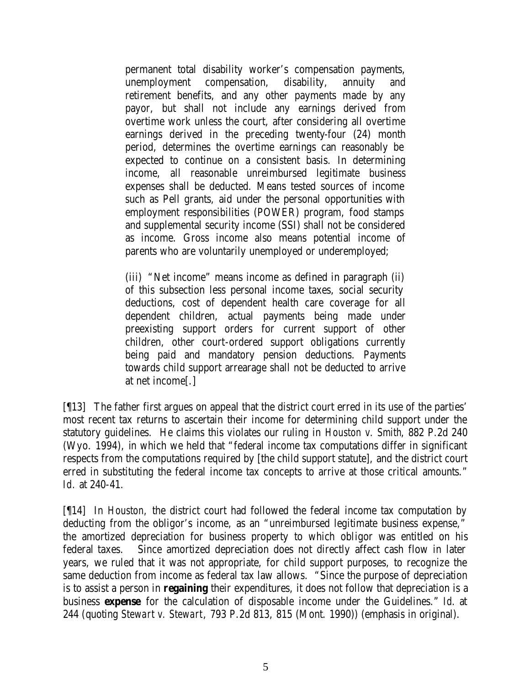permanent total disability worker's compensation payments, unemployment compensation, disability, annuity and retirement benefits, and any other payments made by any payor, but shall not include any earnings derived from overtime work unless the court, after considering all overtime earnings derived in the preceding twenty-four (24) month period, determines the overtime earnings can reasonably be expected to continue on a consistent basis. In determining income, all reasonable unreimbursed legitimate business expenses shall be deducted. Means tested sources of income such as Pell grants, aid under the personal opportunities with employment responsibilities (POWER) program, food stamps and supplemental security income (SSI) shall not be considered as income. Gross income also means potential income of parents who are voluntarily unemployed or underemployed;

(iii) "Net income" means income as defined in paragraph (ii) of this subsection less personal income taxes, social security deductions, cost of dependent health care coverage for all dependent children, actual payments being made under preexisting support orders for current support of other children, other court-ordered support obligations currently being paid and mandatory pension deductions. Payments towards child support arrearage shall not be deducted to arrive at net income[.]

[¶13] The father first argues on appeal that the district court erred in its use of the parties' most recent tax returns to ascertain their income for determining child support under the statutory guidelines. He claims this violates our ruling in *Houston v. Smith*, 882 P.2d 240 (Wyo. 1994), in which we held that "federal income tax computations differ in significant respects from the computations required by [the child support statute], and the district court erred in substituting the federal income tax concepts to arrive at those critical amounts." *Id.* at 240-41.

[¶14] In *Houston,* the district court had followed the federal income tax computation by deducting from the obligor's income, as an "unreimbursed legitimate business expense," the amortized depreciation for business property to which obligor was entitled on his federal taxes. Since amortized depreciation does not directly affect cash flow in later years, we ruled that it was not appropriate, for child support purposes, to recognize the same deduction from income as federal tax law allows. "Since the purpose of depreciation is to assist a person in **regaining** their expenditures, it does not follow that depreciation is a business **expense** for the calculation of disposable income under the Guidelines." *Id.* at 244 (quoting *Stewart v. Stewart*, 793 P.2d 813, 815 (Mont. 1990)) (emphasis in original).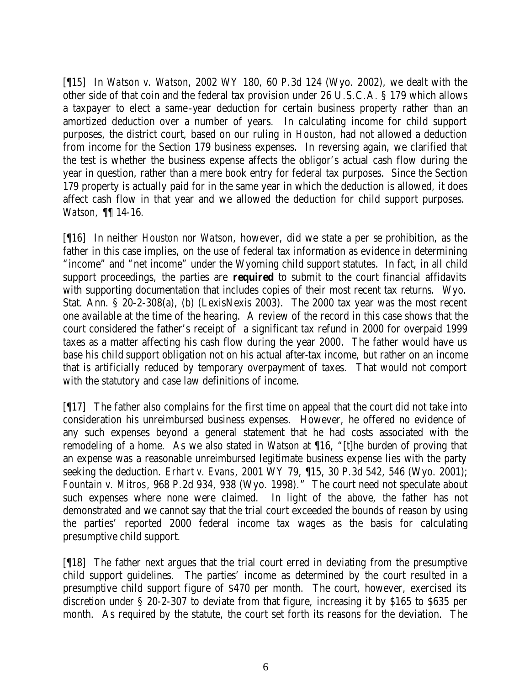[¶15] In *Watson v. Watson*, 2002 WY 180, 60 P.3d 124 (Wyo. 2002), we dealt with the other side of that coin and the federal tax provision under 26 U.S.C.A. § 179 which allows a taxpayer to elect a same -year deduction for certain business property rather than an amortized deduction over a number of years. In calculating income for child support purposes, the district court, based on our ruling in *Houston*, had not allowed a deduction from income for the Section 179 business expenses. In reversing again, we clarified that the test is whether the business expense affects the obligor's actual cash flow during the year in question, rather than a mere book entry for federal tax purposes. Since the Section 179 property is actually paid for in the same year in which the deduction is allowed, it does affect cash flow in that year and we allowed the deduction for child support purposes. *Watson,* ¶¶ 14-16.

[¶16] In neither *Houston* nor *Watson*, however, did we state a per se prohibition, as the father in this case implies, on the use of federal tax information as evidence in determining "income" and "net income" under the Wyoming child support statutes. In fact, in all child support proceedings, the parties are **required** to submit to the court financial affidavits with supporting documentation that includes copies of their most recent tax returns. Wyo. Stat. Ann. § 20-2-308(a), (b) (LexisNexis 2003). The 2000 tax year was the most recent one available at the time of the hearing. A review of the record in this case shows that the court considered the father's receipt of a significant tax refund in 2000 for overpaid 1999 taxes as a matter affecting his cash flow during the year 2000. The father would have us base his child support obligation not on his actual after-tax income, but rather on an income that is artificially reduced by temporary overpayment of taxes. That would not comport with the statutory and case law definitions of income.

[¶17] The father also complains for the first time on appeal that the court did not take into consideration his unreimbursed business expenses. However, he offered no evidence of any such expenses beyond a general statement that he had costs associated with the remodeling of a home. As we also stated in *Watson* at ¶16, "[t]he burden of proving that an expense was a reasonable unreimbursed legitimate business expense lies with the party seeking the deduction. *Erhart v. Evans*, 2001 WY 79, ¶15, 30 P.3d 542, 546 (Wyo. 2001); *Fountain v. Mitros*, 968 P.2d 934, 938 (Wyo. 1998)." The court need not speculate about such expenses where none were claimed. In light of the above, the father has not demonstrated and we cannot say that the trial court exceeded the bounds of reason by using the parties' reported 2000 federal income tax wages as the basis for calculating presumptive child support.

[¶18] The father next argues that the trial court erred in deviating from the presumptive child support guidelines. The parties' income as determined by the court resulted in a presumptive child support figure of \$470 per month. The court, however, exercised its discretion under § 20-2-307 to deviate from that figure, increasing it by \$165 to \$635 per month. As required by the statute, the court set forth its reasons for the deviation. The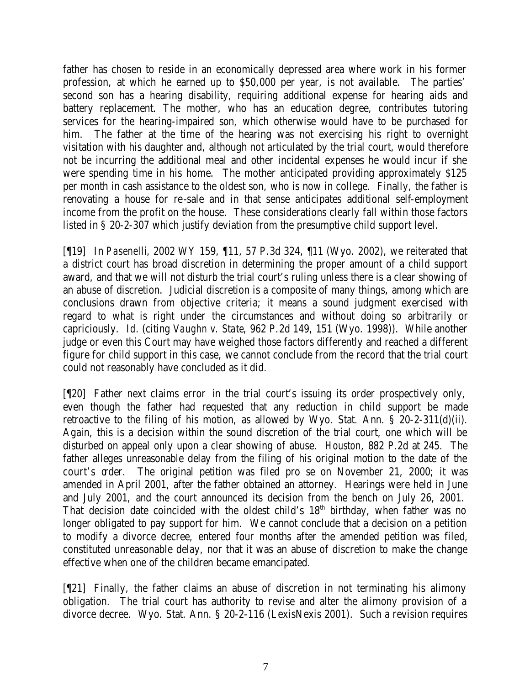father has chosen to reside in an economically depressed area where work in his former profession, at which he earned up to \$50,000 per year, is not available. The parties' second son has a hearing disability, requiring additional expense for hearing aids and battery replacement. The mother, who has an education degree, contributes tutoring services for the hearing-impaired son, which otherwise would have to be purchased for him. The father at the time of the hearing was not exercising his right to overnight visitation with his daughter and, although not articulated by the trial court, would therefore not be incurring the additional meal and other incidental expenses he would incur if she were spending time in his home. The mother anticipated providing approximately \$125 per month in cash assistance to the oldest son, who is now in college. Finally, the father is renovating a house for re-sale and in that sense anticipates additional self-employment income from the profit on the house. These considerations clearly fall within those factors listed in § 20-2-307 which justify deviation from the presumptive child support level.

[¶19] In *Pasenelli*, 2002 WY 159, ¶11, 57 P.3d 324, ¶11 (Wyo. 2002), we reiterated that a district court has broad discretion in determining the proper amount of a child support award, and that we will not disturb the trial court's ruling unless there is a clear showing of an abuse of discretion. Judicial discretion is a composite of many things, among which are conclusions drawn from objective criteria; it means a sound judgment exercised with regard to what is right under the circumstances and without doing so arbitrarily or capriciously. *Id.* (citing *Vaughn v. State*, 962 P.2d 149, 151 (Wyo. 1998)). While another judge or even this Court may have weighed those factors differently and reached a different figure for child support in this case, we cannot conclude from the record that the trial court could not reasonably have concluded as it did.

[¶20] Father next claims error in the trial court's issuing its order prospectively only, even though the father had requested that any reduction in child support be made retroactive to the filing of his motion, as allowed by Wyo. Stat. Ann. § 20-2-311(d)(ii). Again, this is a decision within the sound discretion of the trial court, one which will be disturbed on appeal only upon a clear showing of abuse. *Houston*, 882 P.2d at 245. The father alleges unreasonable delay from the filing of his original motion to the date of the court's order. The original petition was filed pro se on November 21, 2000; it was amended in April 2001, after the father obtained an attorney. Hearings were held in June and July 2001, and the court announced its decision from the bench on July 26, 2001. That decision date coincided with the oldest child's  $18<sup>th</sup>$  birthday, when father was no longer obligated to pay support for him. We cannot conclude that a decision on a petition to modify a divorce decree, entered four months after the amended petition was filed, constituted unreasonable delay, nor that it was an abuse of discretion to make the change effective when one of the children became emancipated.

[¶21] Finally, the father claims an abuse of discretion in not terminating his alimony obligation. The trial court has authority to revise and alter the alimony provision of a divorce decree. Wyo. Stat. Ann. § 20-2-116 (LexisNexis 2001). Such a revision requires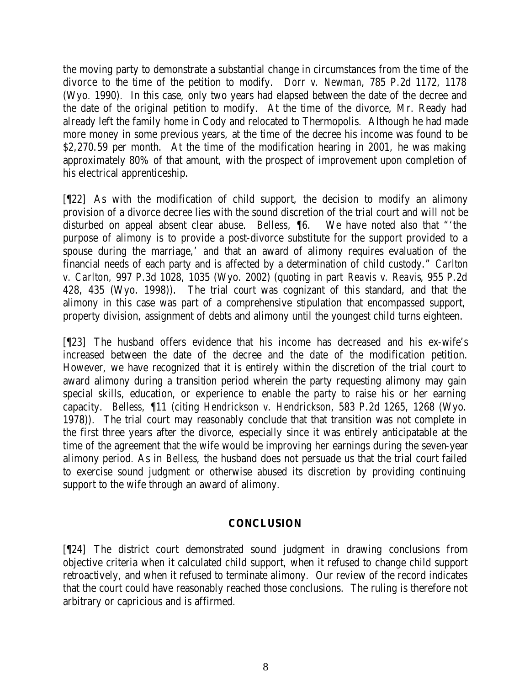the moving party to demonstrate a substantial change in circumstances from the time of the divorce to the time of the petition to modify. *Dorr v. Newman*, 785 P.2d 1172, 1178 (Wyo. 1990). In this case, only two years had elapsed between the date of the decree and the date of the original petition to modify. At the time of the divorce, Mr. Ready had already left the family home in Cody and relocated to Thermopolis. Although he had made more money in some previous years, at the time of the decree his income was found to be \$2,270.59 per month. At the time of the modification hearing in 2001, he was making approximately 80% of that amount, with the prospect of improvement upon completion of his electrical apprenticeship.

[¶22] As with the modification of child support, the decision to modify an alimony provision of a divorce decree lies with the sound discretion of the trial court and will not be disturbed on appeal absent clear abuse. *Belless,* ¶6. We have noted also that "'the purpose of alimony is to provide a post-divorce substitute for the support provided to a spouse during the marriage,' and that an award of alimony requires evaluation of the financial needs of each party and is affected by a determination of child custody." *Carlton v. Carlton,* 997 P.3d 1028, 1035 (Wyo. 2002) (quoting in part *Reavis v. Reavis*, 955 P.2d 428, 435 (Wyo. 1998)). The trial court was cognizant of this standard, and that the alimony in this case was part of a comprehensive stipulation that encompassed support, property division, assignment of debts and alimony until the youngest child turns eighteen.

[¶23] The husband offers evidence that his income has decreased and his ex-wife's increased between the date of the decree and the date of the modification petition. However, we have recognized that it is entirely within the discretion of the trial court to award alimony during a transition period wherein the party requesting alimony may gain special skills, education, or experience to enable the party to raise his or her earning capacity. *Belless,* ¶11 (citing *Hendrickson v. Hendrickson*, 583 P.2d 1265, 1268 (Wyo. 1978)). The trial court may reasonably conclude that that transition was not complete in the first three years after the divorce, especially since it was entirely anticipatable at the time of the agreement that the wife would be improving her earnings during the seven-year alimony period. As in *Belless*, the husband does not persuade us that the trial court failed to exercise sound judgment or otherwise abused its discretion by providing continuing support to the wife through an award of alimony.

### **CONCLUSION**

[¶24] The district court demonstrated sound judgment in drawing conclusions from objective criteria when it calculated child support, when it refused to change child support retroactively, and when it refused to terminate alimony. Our review of the record indicates that the court could have reasonably reached those conclusions. The ruling is therefore not arbitrary or capricious and is affirmed.